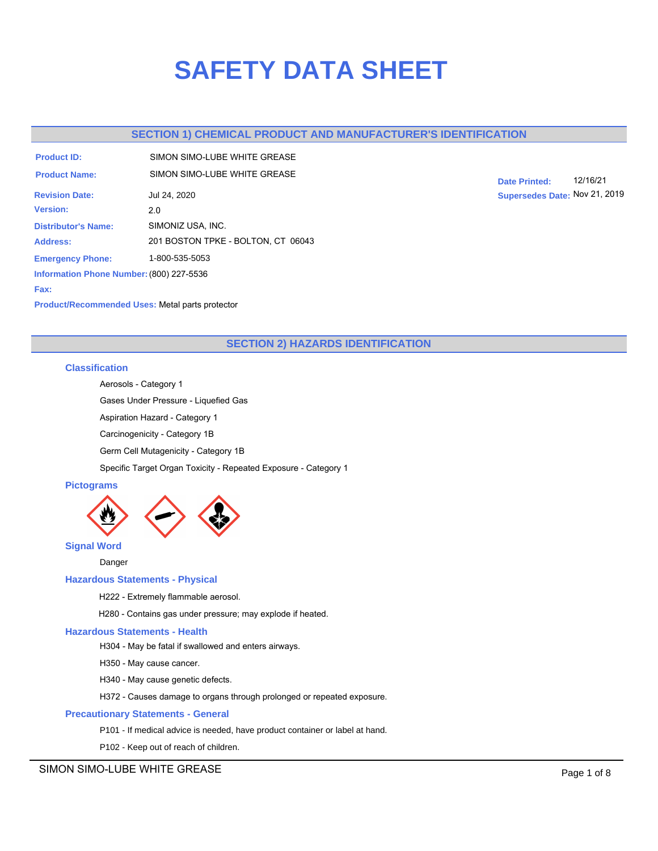# **SAFETY DATA SHEET**

# **SECTION 1) CHEMICAL PRODUCT AND MANUFACTURER'S IDENTIFICATION**

| <b>Product ID:</b>                       | SIMON SIMO-I UBE WHITE GREASE      |
|------------------------------------------|------------------------------------|
| <b>Product Name:</b>                     | SIMON SIMO-I UBE WHITE GREASE      |
| <b>Revision Date:</b>                    | Jul 24, 2020                       |
| <b>Version:</b>                          | 2.0                                |
| <b>Distributor's Name:</b>               | SIMONIZ USA, INC.                  |
| <b>Address:</b>                          | 201 BOSTON TPKE - BOLTON, CT 06043 |
| <b>Emergency Phone:</b>                  | 1-800-535-5053                     |
| Information Phone Number: (800) 227-5536 |                                    |
| Fax:                                     |                                    |

**Date Printed:** 12/16/21 **Supersedes Date:** Nov 21, 2019

# **Product/Recommended Uses:** Metal parts protector

# **SECTION 2) HAZARDS IDENTIFICATION**

## **Classification**

Aerosols - Category 1

Gases Under Pressure - Liquefied Gas

Aspiration Hazard - Category 1

Carcinogenicity - Category 1B

Germ Cell Mutagenicity - Category 1B

Specific Target Organ Toxicity - Repeated Exposure - Category 1

# **Pictograms**



Danger

# **Hazardous Statements - Physical**

H222 - Extremely flammable aerosol.

H280 - Contains gas under pressure; may explode if heated.

### **Hazardous Statements - Health**

H304 - May be fatal if swallowed and enters airways.

H350 - May cause cancer.

H340 - May cause genetic defects.

H372 - Causes damage to organs through prolonged or repeated exposure.

### **Precautionary Statements - General**

P101 - If medical advice is needed, have product container or label at hand.

P102 - Keep out of reach of children.

SIMON SIMO-LUBE WHITE GREASE **Page 1 of 8**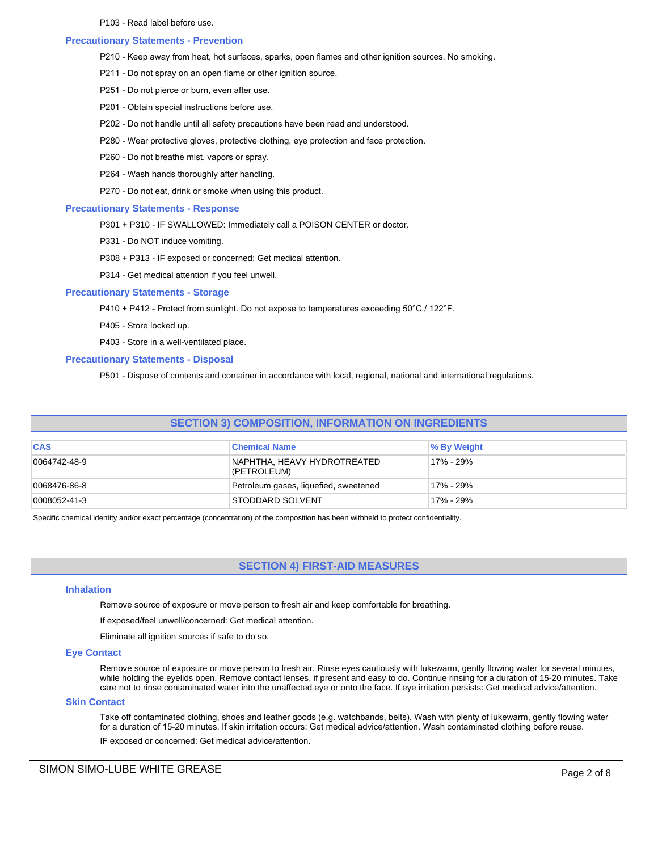P103 - Read label before use.

### **Precautionary Statements - Prevention**

- P210 Keep away from heat, hot surfaces, sparks, open flames and other ignition sources. No smoking.
- P211 Do not spray on an open flame or other ignition source.
- P251 Do not pierce or burn, even after use.
- P201 Obtain special instructions before use.
- P202 Do not handle until all safety precautions have been read and understood.
- P280 Wear protective gloves, protective clothing, eye protection and face protection.
- P260 Do not breathe mist, vapors or spray.
- P264 Wash hands thoroughly after handling.
- P270 Do not eat, drink or smoke when using this product.

### **Precautionary Statements - Response**

- P301 + P310 IF SWALLOWED: Immediately call a POISON CENTER or doctor.
- P331 Do NOT induce vomiting.
- P308 + P313 IF exposed or concerned: Get medical attention.
- P314 Get medical attention if you feel unwell.

### **Precautionary Statements - Storage**

- P410 + P412 Protect from sunlight. Do not expose to temperatures exceeding 50°C / 122°F.
- P405 Store locked up.
- P403 Store in a well-ventilated place.

### **Precautionary Statements - Disposal**

P501 - Dispose of contents and container in accordance with local, regional, national and international regulations.

# **SECTION 3) COMPOSITION, INFORMATION ON INGREDIENTS**

| <b>CAS</b>   | <b>Chemical Name</b>                       | ∣% By Weight |
|--------------|--------------------------------------------|--------------|
| 0064742-48-9 | NAPHTHA, HEAVY HYDROTREATED<br>(PETROLEUM) | 17% - 29%    |
| 0068476-86-8 | Petroleum gases, liquefied, sweetened      | 17% - 29%    |
| 0008052-41-3 | <b>STODDARD SOLVENT</b>                    | 17% - 29%    |

Specific chemical identity and/or exact percentage (concentration) of the composition has been withheld to protect confidentiality.

# **SECTION 4) FIRST-AID MEASURES**

### **Inhalation**

Remove source of exposure or move person to fresh air and keep comfortable for breathing.

If exposed/feel unwell/concerned: Get medical attention.

Eliminate all ignition sources if safe to do so.

### **Eye Contact**

Remove source of exposure or move person to fresh air. Rinse eyes cautiously with lukewarm, gently flowing water for several minutes, while holding the eyelids open. Remove contact lenses, if present and easy to do. Continue rinsing for a duration of 15-20 minutes. Take care not to rinse contaminated water into the unaffected eye or onto the face. If eye irritation persists: Get medical advice/attention.

### **Skin Contact**

Take off contaminated clothing, shoes and leather goods (e.g. watchbands, belts). Wash with plenty of lukewarm, gently flowing water for a duration of 15-20 minutes. If skin irritation occurs: Get medical advice/attention. Wash contaminated clothing before reuse. IF exposed or concerned: Get medical advice/attention.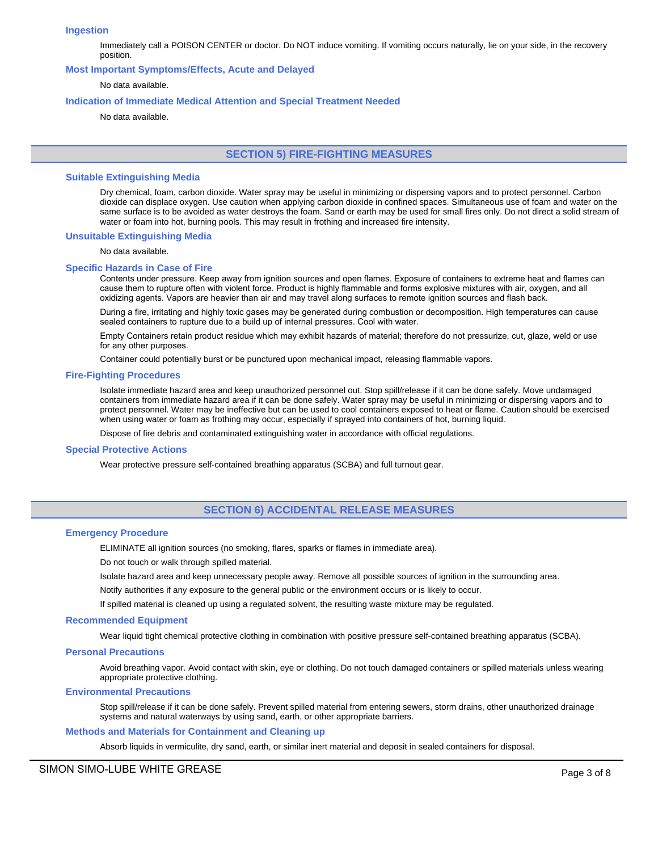### **Ingestion**

Immediately call a POISON CENTER or doctor. Do NOT induce vomiting. If vomiting occurs naturally, lie on your side, in the recovery position.

### **Most Important Symptoms/Effects, Acute and Delayed**

### No data available.

### **Indication of Immediate Medical Attention and Special Treatment Needed**

No data available.

# **SECTION 5) FIRE-FIGHTING MEASURES**

### **Suitable Extinguishing Media**

Dry chemical, foam, carbon dioxide. Water spray may be useful in minimizing or dispersing vapors and to protect personnel. Carbon dioxide can displace oxygen. Use caution when applying carbon dioxide in confined spaces. Simultaneous use of foam and water on the same surface is to be avoided as water destroys the foam. Sand or earth may be used for small fires only. Do not direct a solid stream of water or foam into hot, burning pools. This may result in frothing and increased fire intensity.

### **Unsuitable Extinguishing Media**

No data available.

#### **Specific Hazards in Case of Fire**

Contents under pressure. Keep away from ignition sources and open flames. Exposure of containers to extreme heat and flames can cause them to rupture often with violent force. Product is highly flammable and forms explosive mixtures with air, oxygen, and all oxidizing agents. Vapors are heavier than air and may travel along surfaces to remote ignition sources and flash back.

During a fire, irritating and highly toxic gases may be generated during combustion or decomposition. High temperatures can cause sealed containers to rupture due to a build up of internal pressures. Cool with water.

Empty Containers retain product residue which may exhibit hazards of material; therefore do not pressurize, cut, glaze, weld or use for any other purposes.

Container could potentially burst or be punctured upon mechanical impact, releasing flammable vapors.

#### **Fire-Fighting Procedures**

Isolate immediate hazard area and keep unauthorized personnel out. Stop spill/release if it can be done safely. Move undamaged containers from immediate hazard area if it can be done safely. Water spray may be useful in minimizing or dispersing vapors and to protect personnel. Water may be ineffective but can be used to cool containers exposed to heat or flame. Caution should be exercised when using water or foam as frothing may occur, especially if sprayed into containers of hot, burning liquid.

Dispose of fire debris and contaminated extinguishing water in accordance with official regulations.

#### **Special Protective Actions**

Wear protective pressure self-contained breathing apparatus (SCBA) and full turnout gear.

### **SECTION 6) ACCIDENTAL RELEASE MEASURES**

### **Emergency Procedure**

ELIMINATE all ignition sources (no smoking, flares, sparks or flames in immediate area).

Do not touch or walk through spilled material.

Isolate hazard area and keep unnecessary people away. Remove all possible sources of ignition in the surrounding area.

Notify authorities if any exposure to the general public or the environment occurs or is likely to occur.

If spilled material is cleaned up using a regulated solvent, the resulting waste mixture may be regulated.

### **Recommended Equipment**

Wear liquid tight chemical protective clothing in combination with positive pressure self-contained breathing apparatus (SCBA).

### **Personal Precautions**

Avoid breathing vapor. Avoid contact with skin, eye or clothing. Do not touch damaged containers or spilled materials unless wearing appropriate protective clothing.

#### **Environmental Precautions**

Stop spill/release if it can be done safely. Prevent spilled material from entering sewers, storm drains, other unauthorized drainage systems and natural waterways by using sand, earth, or other appropriate barriers.

### **Methods and Materials for Containment and Cleaning up**

Absorb liquids in vermiculite, dry sand, earth, or similar inert material and deposit in sealed containers for disposal.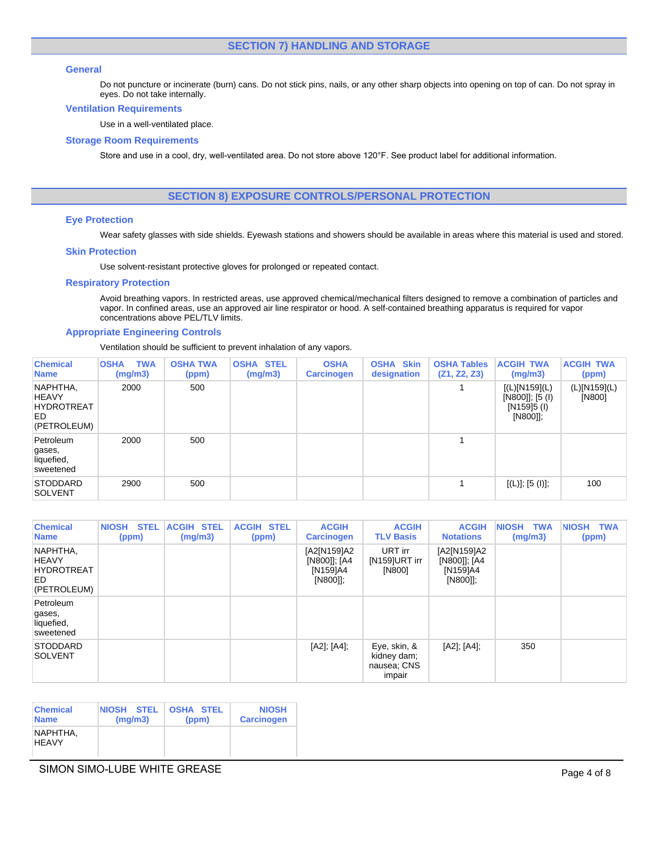# **SECTION 7) HANDLING AND STORAGE**

### **General**

Do not puncture or incinerate (burn) cans. Do not stick pins, nails, or any other sharp objects into opening on top of can. Do not spray in eyes. Do not take internally.

### **Ventilation Requirements**

Use in a well-ventilated place.

### **Storage Room Requirements**

Store and use in a cool, dry, well-ventilated area. Do not store above 120°F. See product label for additional information.

# **SECTION 8) EXPOSURE CONTROLS/PERSONAL PROTECTION**

### **Eye Protection**

Wear safety glasses with side shields. Eyewash stations and showers should be available in areas where this material is used and stored.

### **Skin Protection**

Use solvent-resistant protective gloves for prolonged or repeated contact.

### **Respiratory Protection**

Avoid breathing vapors. In restricted areas, use approved chemical/mechanical filters designed to remove a combination of particles and vapor. In confined areas, use an approved air line respirator or hood. A self-contained breathing apparatus is required for vapor concentrations above PEL/TLV limits.

### **Appropriate Engineering Controls**

Ventilation should be sufficient to prevent inhalation of any vapors.

| <b>Chemical</b><br><b>Name</b>                                      | <b>TWA</b><br><b>OSHA</b><br>(mg/m3) | <b>OSHA TWA</b><br>(ppm) | <b>OSHA STEL</b><br>(mg/m3) | <b>OSHA</b><br><b>Carcinogen</b> | <b>OSHA Skin</b><br>designation | <b>OSHA Tables</b><br>(Z1, Z2, Z3) | <b>ACGIH TWA</b><br>(mg/m3)                                       | <b>ACGIH TWA</b><br>(ppm) |
|---------------------------------------------------------------------|--------------------------------------|--------------------------|-----------------------------|----------------------------------|---------------------------------|------------------------------------|-------------------------------------------------------------------|---------------------------|
| NAPHTHA,<br><b>HEAVY</b><br><b>HYDROTREAT</b><br>ED.<br>(PETROLEUM) | 2000                                 | 500                      |                             |                                  |                                 |                                    | [(L)[N159](L)<br>$[N800]$ ; $[5 (1)$<br>$[N159]5$ (I)<br>[N800]]; | (L)[N159](L)<br>[N800]    |
| Petroleum<br>gases,<br>liquefied,<br>sweetened                      | 2000                                 | 500                      |                             |                                  |                                 |                                    |                                                                   |                           |
| <b>STODDARD</b><br><b>SOLVENT</b>                                   | 2900                                 | 500                      |                             |                                  |                                 |                                    | [(L)]; [5 (I)];                                                   | 100                       |

| <b>Chemical</b><br><b>Name</b>                                      | <b>NIOSH</b><br><b>STEL</b><br>(ppm) | <b>ACGIH STEL</b><br>(mg/m3) | <b>ACGIH STEL</b><br>(ppm) | <b>ACGIH</b><br><b>Carcinogen</b>                   | <b>ACGIH</b><br><b>TLV Basis</b>                     | <b>ACGIH</b><br><b>Notations</b>                    | <b>NIOSH</b><br><b>TWA</b><br>(mg/m3) | NIOSH TWA<br>(ppm) |
|---------------------------------------------------------------------|--------------------------------------|------------------------------|----------------------------|-----------------------------------------------------|------------------------------------------------------|-----------------------------------------------------|---------------------------------------|--------------------|
| NAPHTHA,<br><b>HEAVY</b><br><b>HYDROTREAT</b><br>ED.<br>(PETROLEUM) |                                      |                              |                            | [A2[N159]A2<br>[N800]]; [A4<br>[N159]A4<br>[N800]]; | URT irr<br>[N159]URT irr<br>[N800]                   | [A2[N159]A2<br>[N800]]; [A4<br>[N159]A4<br>[N800]]; |                                       |                    |
| Petroleum<br>gases,<br>liquefied,<br>sweetened                      |                                      |                              |                            |                                                     |                                                      |                                                     |                                       |                    |
| <b>STODDARD</b><br><b>SOLVENT</b>                                   |                                      |                              |                            | [A2]; [A4];                                         | Eye, skin, &<br>kidney dam;<br>nausea: CNS<br>impair | [A2]; [A4];                                         | 350                                   |                    |

| <b>Chemical</b>          | <b>NIOSH STEL</b> | <b>OSHA STEL</b> | <b>NIOSH</b>      |
|--------------------------|-------------------|------------------|-------------------|
| <b>Name</b>              | (mq/m3)           | (ppm)            | <b>Carcinogen</b> |
| NAPHTHA,<br><b>HFAVY</b> |                   |                  |                   |

# SIMON SIMO-LUBE WHITE GREASE **Page 4 of 8**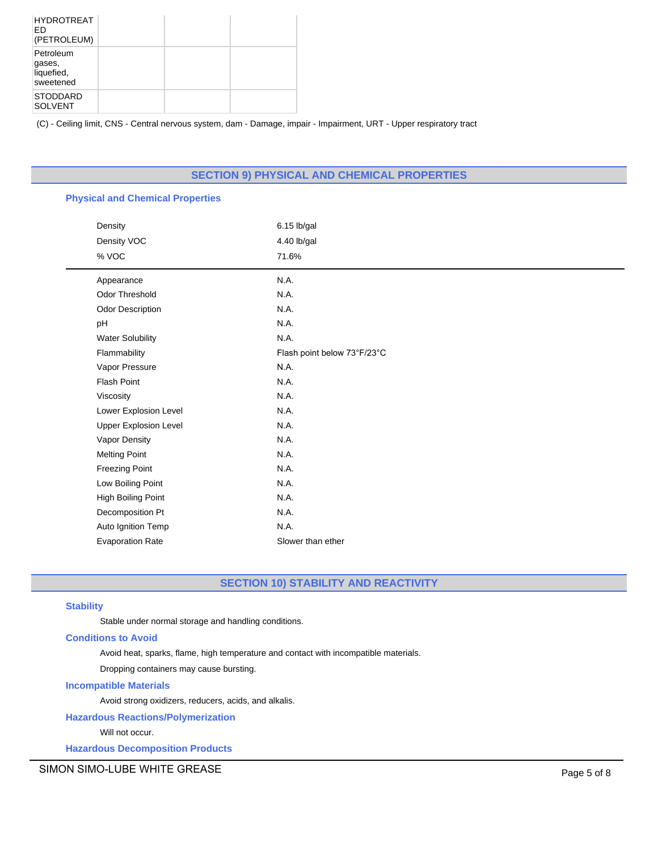| <b>HYDROTREAT</b><br>ED<br>(PETROLEUM)         |  |  |
|------------------------------------------------|--|--|
| Petroleum<br>gases,<br>liquefied,<br>sweetened |  |  |
| <b>STODDARD</b><br><b>SOLVENT</b>              |  |  |

(C) - Ceiling limit, CNS - Central nervous system, dam - Damage, impair - Impairment, URT - Upper respiratory tract

# **SECTION 9) PHYSICAL AND CHEMICAL PROPERTIES**

| <b>Physical and Chemical Properties</b> |                             |  |  |
|-----------------------------------------|-----------------------------|--|--|
| Density                                 | 6.15 lb/gal                 |  |  |
| Density VOC                             | 4.40 lb/gal                 |  |  |
| % VOC                                   | 71.6%                       |  |  |
| Appearance                              | N.A.                        |  |  |
| <b>Odor Threshold</b>                   | N.A.                        |  |  |
| Odor Description                        | N.A.                        |  |  |
| pH                                      | N.A.                        |  |  |
| <b>Water Solubility</b>                 | N.A.                        |  |  |
| Flammability                            | Flash point below 73°F/23°C |  |  |
| Vapor Pressure                          | N.A.                        |  |  |
| <b>Flash Point</b>                      | N.A.                        |  |  |
| Viscosity                               | N.A.                        |  |  |
| Lower Explosion Level                   | N.A.                        |  |  |
| <b>Upper Explosion Level</b>            | N.A.                        |  |  |
| Vapor Density                           | N.A.                        |  |  |
| <b>Melting Point</b>                    | N.A.                        |  |  |
| <b>Freezing Point</b>                   | N.A.                        |  |  |
| Low Boiling Point                       | N.A.                        |  |  |
| High Boiling Point                      | N.A.                        |  |  |
| Decomposition Pt                        | N.A.                        |  |  |
| Auto Ignition Temp                      | N.A.                        |  |  |
| <b>Evaporation Rate</b>                 | Slower than ether           |  |  |

# **SECTION 10) STABILITY AND REACTIVITY**

### **Stability**

Stable under normal storage and handling conditions.

### **Conditions to Avoid**

Avoid heat, sparks, flame, high temperature and contact with incompatible materials.

Dropping containers may cause bursting.

# **Incompatible Materials**

Avoid strong oxidizers, reducers, acids, and alkalis.

**Hazardous Reactions/Polymerization**

Will not occur.

**Hazardous Decomposition Products**

SIMON SIMO-LUBE WHITE GREASE **Page 1 and 2** and 2 and 2 and 2 and 2 and 2 and 2 and 2 and 2 and 2 and 2 and 2 and 2 and 2 and 2 and 2 and 2 and 2 and 2 and 2 and 2 and 2 and 2 and 2 and 2 and 2 and 2 and 2 and 2 and 2 and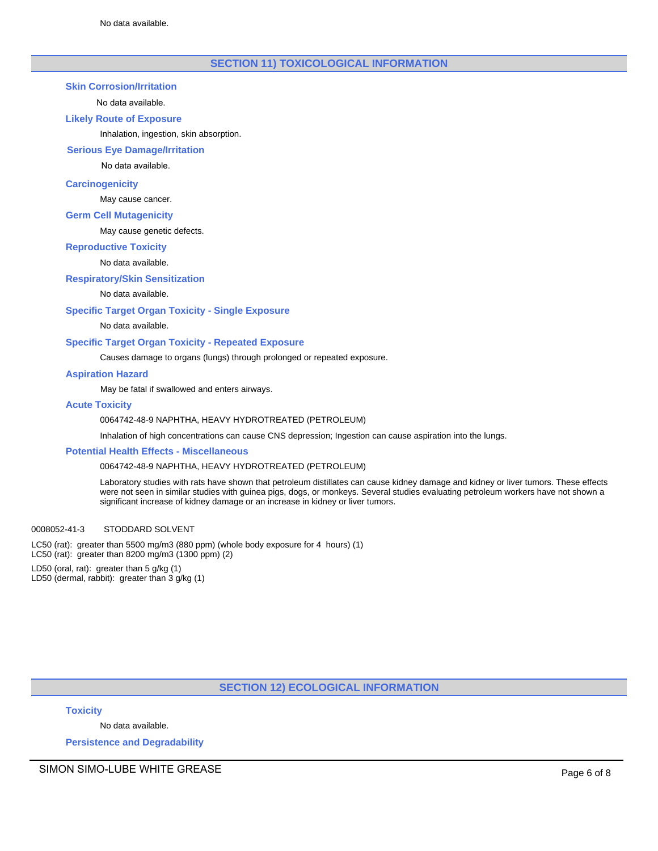# **SECTION 11) TOXICOLOGICAL INFORMATION**

### **Skin Corrosion/Irritation**

### No data available.

### **Likely Route of Exposure**

Inhalation, ingestion, skin absorption.

### **Serious Eye Damage/Irritation**

No data available.

### **Carcinogenicity**

May cause cancer.

### **Germ Cell Mutagenicity**

May cause genetic defects.

### **Reproductive Toxicity**

# No data available.

### **Respiratory/Skin Sensitization**

### No data available.

### **Specific Target Organ Toxicity - Single Exposure**

No data available.

### **Specific Target Organ Toxicity - Repeated Exposure**

Causes damage to organs (lungs) through prolonged or repeated exposure.

### **Aspiration Hazard**

May be fatal if swallowed and enters airways.

### **Acute Toxicity**

### 0064742-48-9 NAPHTHA, HEAVY HYDROTREATED (PETROLEUM)

Inhalation of high concentrations can cause CNS depression; Ingestion can cause aspiration into the lungs.

### **Potential Health Effects - Miscellaneous**

### 0064742-48-9 NAPHTHA, HEAVY HYDROTREATED (PETROLEUM)

Laboratory studies with rats have shown that petroleum distillates can cause kidney damage and kidney or liver tumors. These effects were not seen in similar studies with guinea pigs, dogs, or monkeys. Several studies evaluating petroleum workers have not shown a significant increase of kidney damage or an increase in kidney or liver tumors.

### 0008052-41-3 STODDARD SOLVENT

LC50 (rat): greater than 5500 mg/m3 (880 ppm) (whole body exposure for 4 hours) (1) LC50 (rat): greater than 8200 mg/m3 (1300 ppm) (2) LD50 (oral, rat): greater than 5 g/kg (1) LD50 (dermal, rabbit): greater than 3 g/kg (1)

# **SECTION 12) ECOLOGICAL INFORMATION**

**Toxicity**

No data available.

**Persistence and Degradability**

SIMON SIMO-LUBE WHITE GREASE **Page 6 of 8**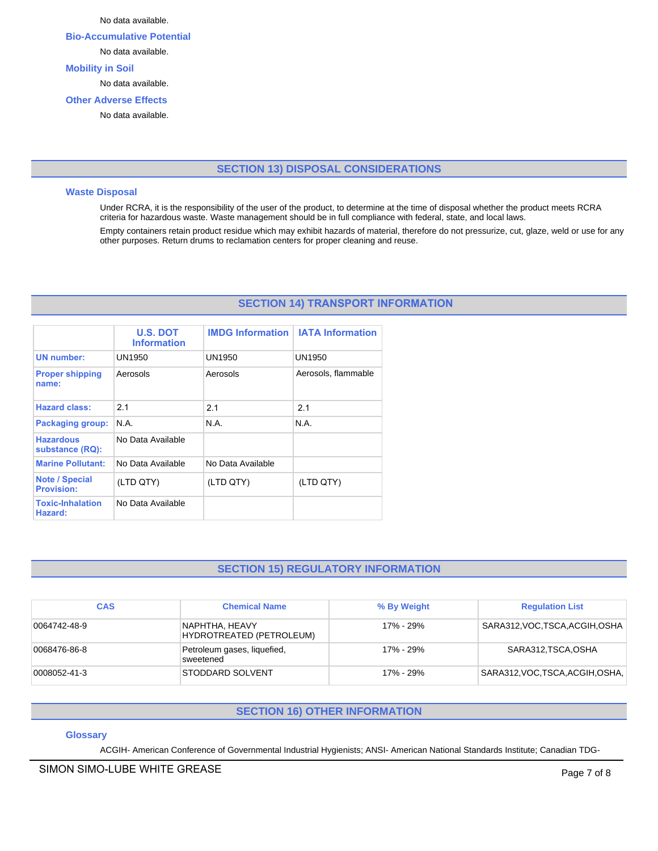No data available.

**Bio-Accumulative Potential**

No data available.

# **Mobility in Soil**

No data available.

# **Other Adverse Effects**

No data available.

# **SECTION 13) DISPOSAL CONSIDERATIONS**

### **Waste Disposal**

Under RCRA, it is the responsibility of the user of the product, to determine at the time of disposal whether the product meets RCRA criteria for hazardous waste. Waste management should be in full compliance with federal, state, and local laws.

Empty containers retain product residue which may exhibit hazards of material, therefore do not pressurize, cut, glaze, weld or use for any other purposes. Return drums to reclamation centers for proper cleaning and reuse.

# **SECTION 14) TRANSPORT INFORMATION**

|                                            | <b>U.S. DOT</b><br><b>Information</b> | <b>IMDG Information</b> | <b>IATA Information</b> |
|--------------------------------------------|---------------------------------------|-------------------------|-------------------------|
| <b>UN number:</b>                          | UN1950                                | UN1950                  | UN1950                  |
| <b>Proper shipping</b><br>name:            | Aerosols                              | Aerosols                | Aerosols, flammable     |
| <b>Hazard class:</b>                       | 2.1                                   | 2.1                     | 21                      |
| <b>Packaging group:</b>                    | N.A.                                  | N.A.                    | N.A.                    |
| <b>Hazardous</b><br>substance (RQ):        | No Data Available                     |                         |                         |
| <b>Marine Pollutant:</b>                   | No Data Available                     | No Data Available       |                         |
| <b>Note / Special</b><br><b>Provision:</b> | (LTD QTY)                             | (LTD QTY)               | (LTD QTY)               |
| <b>Toxic-Inhalation</b><br>Hazard:         | No Data Available                     |                         |                         |

# **SECTION 15) REGULATORY INFORMATION**

| <b>CAS</b>   | <b>Chemical Name</b>                       | % By Weight | <b>Regulation List</b>           |
|--------------|--------------------------------------------|-------------|----------------------------------|
| 0064742-48-9 | NAPHTHA, HEAVY<br>HYDROTREATED (PETROLEUM) | 17% - 29%   | SARA312, VOC, TSCA, ACGIH, OSHA  |
| 0068476-86-8 | Petroleum gases, liquefied,<br>sweetened   | 17% - 29%   | SARA312, TSCA, OSHA              |
| 0008052-41-3 | STODDARD SOLVENT                           | 17% - 29%   | SARA312, VOC, TSCA, ACGIH, OSHA, |

# **SECTION 16) OTHER INFORMATION**

# **Glossary**

ACGIH- American Conference of Governmental Industrial Hygienists; ANSI- American National Standards Institute; Canadian TDG-

# SIMON SIMO-LUBE WHITE GREASE **Page 7** of 8